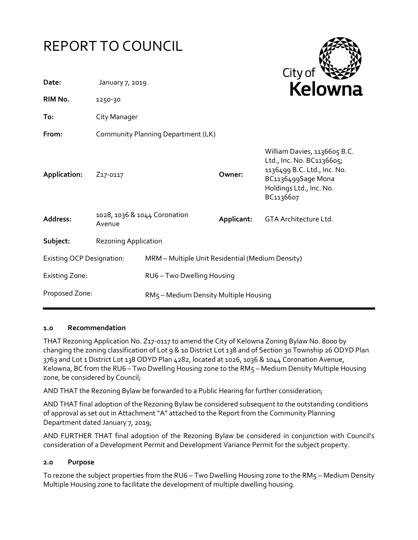| <b>REPORT TO COUNCIL</b>         |                                        |                                                  |            | City of                                                                                                                                                |
|----------------------------------|----------------------------------------|--------------------------------------------------|------------|--------------------------------------------------------------------------------------------------------------------------------------------------------|
| Date:                            | January 7, 2019                        |                                                  |            | Kelowna                                                                                                                                                |
| RIM No.                          | 1250-30                                |                                                  |            |                                                                                                                                                        |
| To:                              | City Manager                           |                                                  |            |                                                                                                                                                        |
| From:                            | Community Planning Department (LK)     |                                                  |            |                                                                                                                                                        |
| Application:                     | Z <sub>17</sub> -0117                  |                                                  | Owner:     | William Davies, 1136605 B.C.<br>Ltd., Inc. No. BC1136605;<br>1136499 B.C. Ltd., Inc. No.<br>BC1136499Sage Mona<br>Holdings Ltd., Inc. No.<br>BC1136607 |
| Address:                         | 1028, 1036 & 1044 Coronation<br>Avenue |                                                  | Applicant: | GTA Architecture Ltd.                                                                                                                                  |
| Subject:                         | <b>Rezoning Application</b>            |                                                  |            |                                                                                                                                                        |
| <b>Existing OCP Designation:</b> |                                        | MRM - Multiple Unit Residential (Medium Density) |            |                                                                                                                                                        |
| <b>Existing Zone:</b>            |                                        | RU6-Two Dwelling Housing                         |            |                                                                                                                                                        |
| Proposed Zone:                   |                                        | RM5 - Medium Density Multiple Housing            |            |                                                                                                                                                        |

# **1.0 Recommendation**

THAT Rezoning Application No. Z17-0117 to amend the City of Kelowna Zoning Bylaw No. 8000 by changing the zoning classification of Lot 9 & 10 District Lot 138 and of Section 30 Township 26 ODYD Plan 3763 and Lot 1 District Lot 138 ODYD Plan 4282, located at 1026, 1036 & 1044 Coronation Avenue, Kelowna, BC from the RU6 – Two Dwelling Housing zone to the RM5 – Medium Density Multiple Housing zone, be considered by Council;

AND THAT the Rezoning Bylaw be forwarded to a Public Hearing for further consideration;

AND THAT final adoption of the Rezoning Bylaw be considered subsequent to the outstanding conditions of approval as set out in Attachment "A" attached to the Report from the Community Planning Department dated January 7, 2019;

AND FURTHER THAT final adoption of the Rezoning Bylaw be considered in conjunction with Council's consideration of a Development Permit and Development Variance Permit for the subject property.

# **2.0 Purpose**

To rezone the subject properties from the RU6 – Two Dwelling Housing zone to the RM5 – Medium Density Multiple Housing zone to facilitate the development of multiple dwelling housing.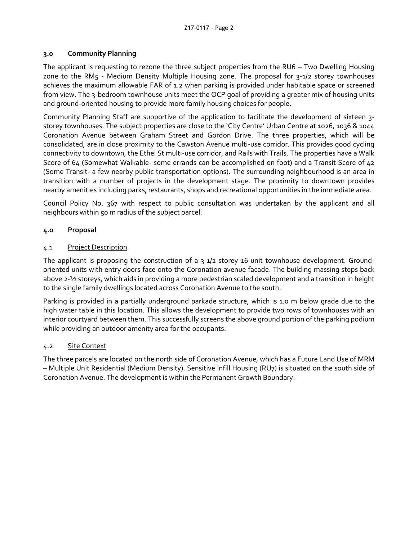## **3.0 Community Planning**

The applicant is requesting to rezone the three subject properties from the RU6 – Two Dwelling Housing zone to the RM5 - Medium Density Multiple Housing zone. The proposal for 3-1/2 storey townhouses achieves the maximum allowable FAR of 1.2 when parking is provided under habitable space or screened from view. The 3-bedroom townhouse units meet the OCP goal of providing a greater mix of housing units and ground-oriented housing to provide more family housing choices for people.

Community Planning Staff are supportive of the application to facilitate the development of sixteen 3 storey townhouses. The subject properties are close to the 'City Centre' Urban Centre at 1026, 1036 & 1044 Coronation Avenue between Graham Street and Gordon Drive. The three properties, which will be consolidated, are in close proximity to the Cawston Avenue multi-use corridor. This provides good cycling connectivity to downtown, the Ethel St multi-use corridor, and Rails with Trails. The properties have a Walk Score of 64 (Somewhat Walkable- some errands can be accomplished on foot) and a Transit Score of 42 (Some Transit- a few nearby public transportation options). The surrounding neighbourhood is an area in transition with a number of projects in the development stage. The proximity to downtown provides nearby amenities including parks, restaurants, shops and recreational opportunities in the immediate area.

Council Policy No. 367 with respect to public consultation was undertaken by the applicant and all neighbours within 50 m radius of the subject parcel.

# **4.0 Proposal**

## 4.1 Project Description

The applicant is proposing the construction of a 3-1/2 storey 16-unit townhouse development. Groundoriented units with entry doors face onto the Coronation avenue facade. The building massing steps back above 2-½ storeys, which aids in providing a more pedestrian scaled development and a transition in height to the single family dwellings located across Coronation Avenue to the south.

Parking is provided in a partially underground parkade structure, which is 1.0 m below grade due to the high water table in this location. This allows the development to provide two rows of townhouses with an interior courtyard between them. This successfully screens the above ground portion of the parking podium while providing an outdoor amenity area for the occupants.

### 4.2 Site Context

The three parcels are located on the north side of Coronation Avenue, which has a Future Land Use of MRM – Multiple Unit Residential (Medium Density). Sensitive Infill Housing (RU7) is situated on the south side of Coronation Avenue. The development is within the Permanent Growth Boundary.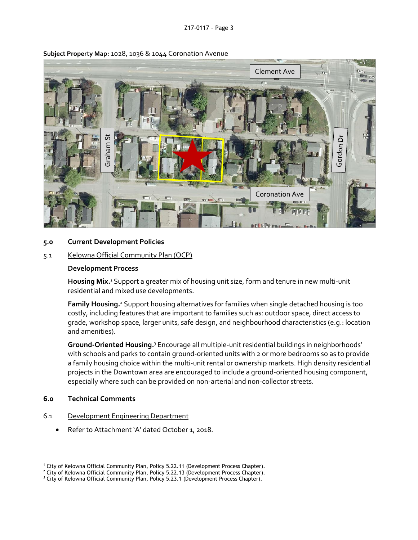

#### **Subject Property Map:** 1028, 1036 & 1044 Coronation Avenue

### **5.0 Current Development Policies**

#### 5.1 Kelowna Official Community Plan (OCP)

#### **Development Process**

Housing Mix.<sup>1</sup> Support a greater mix of housing unit size, form and tenure in new multi-unit residential and mixed use developments.

Family Housing.<sup>2</sup> Support housing alternatives for families when single detached housing is too costly, including features that are important to families such as: outdoor space, direct access to grade, workshop space, larger units, safe design, and neighbourhood characteristics (e.g.: location and amenities).

Ground-Oriented Housing.<sup>3</sup> Encourage all multiple-unit residential buildings in neighborhoods' with schools and parks to contain ground-oriented units with 2 or more bedrooms so as to provide a family housing choice within the multi-unit rental or ownership markets. High density residential projects in the Downtown area are encouraged to include a ground-oriented housing component, especially where such can be provided on non-arterial and non-collector streets.

### **6.0 Technical Comments**

- 6.1 Development Engineering Department
	- Refer to Attachment 'A' dated October 1, 2018.

<sup>1</sup> <sup>1</sup> City of Kelowna Official Community Plan, Policy 5.22.11 (Development Process Chapter).

<sup>&</sup>lt;sup>2</sup> City of Kelowna Official Community Plan, Policy 5.22.13 (Development Process Chapter).

<sup>&</sup>lt;sup>3</sup> City of Kelowna Official Community Plan, Policy 5.23.1 (Development Process Chapter).